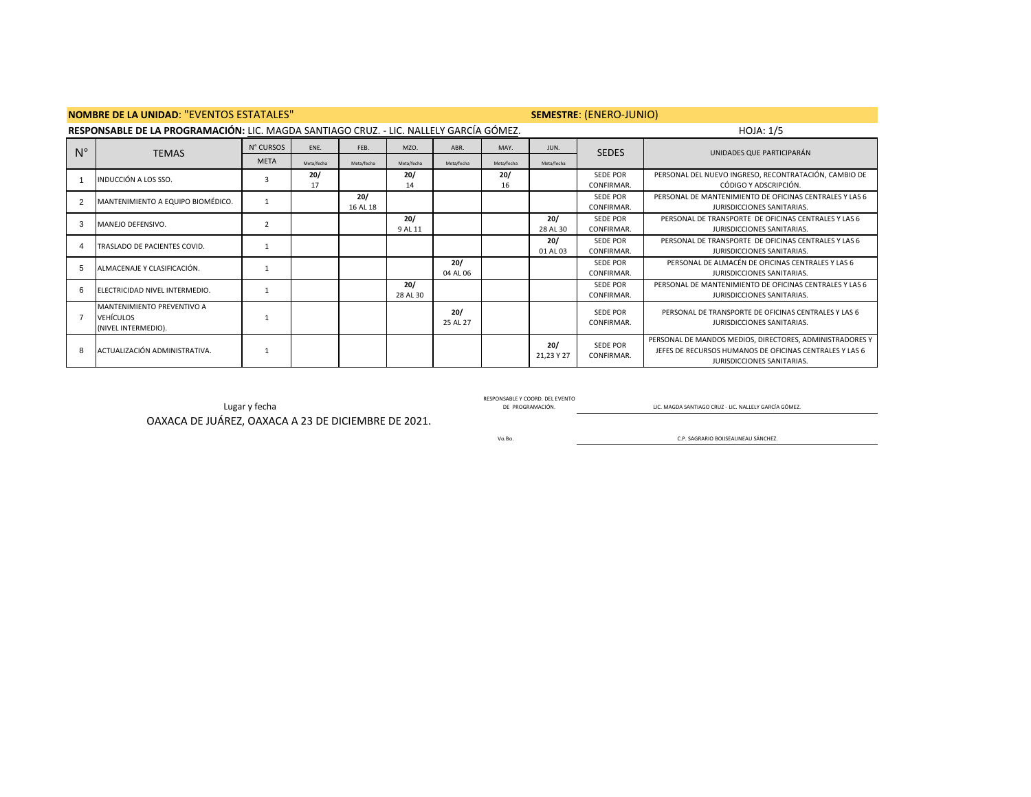|             | <b>NOMBRE DE LA UNIDAD: "EVENTOS ESTATALES"</b>                                        |             |            | SEMESTRE: (ENERO-JUNIO) |                 |                 |                  |                   |                               |                                                                                                                                                   |
|-------------|----------------------------------------------------------------------------------------|-------------|------------|-------------------------|-----------------|-----------------|------------------|-------------------|-------------------------------|---------------------------------------------------------------------------------------------------------------------------------------------------|
|             | RESPONSABLE DE LA PROGRAMACIÓN: LIC. MAGDA SANTIAGO CRUZ. - LIC. NALLELY GARCÍA GÓMEZ. |             |            |                         |                 |                 | <b>HOJA: 1/5</b> |                   |                               |                                                                                                                                                   |
| $N^{\circ}$ | <b>TEMAS</b>                                                                           | N° CURSOS   | ENE.       | FEB.                    | MZO.            | ABR.            | MAY.             | JUN.              | <b>SEDES</b>                  | UNIDADES QUE PARTICIPARÁN                                                                                                                         |
|             |                                                                                        | <b>META</b> | Meta/fecha | Meta/fecha              | Meta/fecha      | Meta/fecha      | Meta/fecha       | Meta/fecha        |                               |                                                                                                                                                   |
|             | INDUCCIÓN A LOS SSO.                                                                   |             | 20/<br>17  |                         | 20/<br>14       |                 | 20/<br>16        |                   | SEDE POR<br>CONFIRMAR.        | PERSONAL DEL NUEVO INGRESO, RECONTRATACIÓN, CAMBIO DE<br>CÓDIGO Y ADSCRIPCIÓN.                                                                    |
|             | MANTENIMIENTO A EQUIPO BIOMÉDICO.                                                      |             |            | 20/<br>16 AL 18         |                 |                 |                  |                   | SEDE POR<br>CONFIRMAR.        | PERSONAL DE MANTENIMIENTO DE OFICINAS CENTRALES Y LAS 6<br>JURISDICCIONES SANITARIAS.                                                             |
|             | MANEJO DEFENSIVO.                                                                      |             |            |                         | 20/<br>9 AL 11  |                 |                  | 20/<br>28 AL 30   | SEDE POR<br>CONFIRMAR.        | PERSONAL DE TRANSPORTE DE OFICINAS CENTRALES Y LAS 6<br>JURISDICCIONES SANITARIAS.                                                                |
|             | TRASLADO DE PACIENTES COVID.                                                           |             |            |                         |                 |                 |                  | 20/<br>01 AL 03   | <b>SEDE POR</b><br>CONFIRMAR. | PERSONAL DE TRANSPORTE DE OFICINAS CENTRALES Y LAS 6<br>JURISDICCIONES SANITARIAS.                                                                |
| 5           | ALMACENAJE Y CLASIFICACIÓN.                                                            |             |            |                         |                 | 20/<br>04 AL 06 |                  |                   | SEDE POR<br>CONFIRMAR.        | PERSONAL DE ALMACÉN DE OFICINAS CENTRALES Y LAS 6<br>JURISDICCIONES SANITARIAS.                                                                   |
| 6           | ELECTRICIDAD NIVEL INTERMEDIO.                                                         |             |            |                         | 20/<br>28 AL 30 |                 |                  |                   | <b>SEDE POR</b><br>CONFIRMAR. | PERSONAL DE MANTENIMIENTO DE OFICINAS CENTRALES Y LAS 6<br>JURISDICCIONES SANITARIAS.                                                             |
|             | MANTENIMIENTO PREVENTIVO A<br><b>VEHÍCULOS</b><br>(NIVEL INTERMEDIO).                  |             |            |                         |                 | 20/<br>25 AL 27 |                  |                   | SEDE POR<br>CONFIRMAR.        | PERSONAL DE TRANSPORTE DE OFICINAS CENTRALES Y LAS 6<br>JURISDICCIONES SANITARIAS.                                                                |
|             | ACTUALIZACIÓN ADMINISTRATIVA.                                                          |             |            |                         |                 |                 |                  | 20/<br>21,23 Y 27 | SEDE POR<br>CONFIRMAR.        | PERSONAL DE MANDOS MEDIOS, DIRECTORES, ADMINISTRADORES Y<br>JEFES DE RECURSOS HUMANOS DE OFICINAS CENTRALES Y LAS 6<br>JURISDICCIONES SANITARIAS. |

RESPONSABLE Y COORD. DEL EVENTO

RESPUNSABLE Y CUCHA DE PROGRAMACIÓN. DEL EVENIU DE PROGRAMACIÓN. DE PROGRAMACIÓN. DE PROGRAMACIÓN. DE PROGRAMACIÓN. DE PROGRAMACIÓN.

OAXACA DE JUÁREZ, OAXACA A 23 DE DICIEMBRE DE 2021.

Vo.Bo.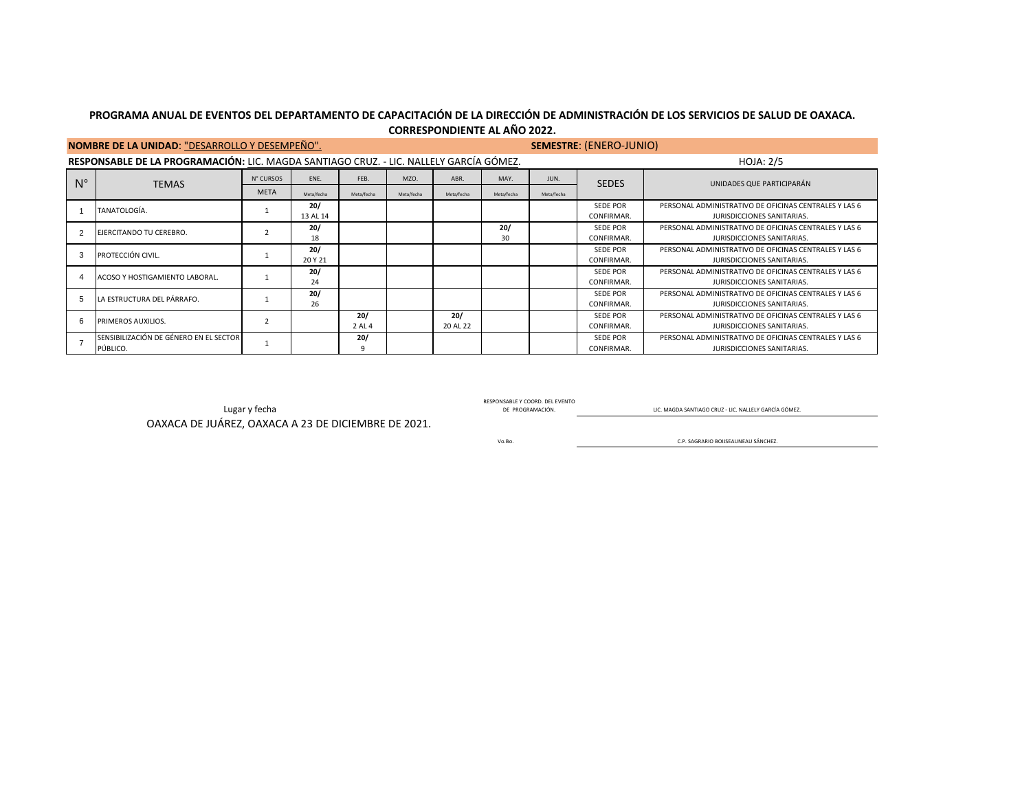| CORRESPONDIENTE AL AÑO 2022. |  |
|------------------------------|--|
|                              |  |

|             | <b>NOMBRE DE LA UNIDAD: "DESARROLLO Y DESEMPEÑO".</b>                                  |             |            | SEMESTRE: (ENERO-JUNIO) |            |                  |            |            |                 |                                                       |
|-------------|----------------------------------------------------------------------------------------|-------------|------------|-------------------------|------------|------------------|------------|------------|-----------------|-------------------------------------------------------|
|             | RESPONSABLE DE LA PROGRAMACIÓN: LIC. MAGDA SANTIAGO CRUZ. - LIC. NALLELY GARCÍA GÓMEZ. |             |            |                         |            | <b>HOJA: 2/5</b> |            |            |                 |                                                       |
| $N^{\circ}$ | <b>TEMAS</b>                                                                           | N° CURSOS   | ENE.       | FEB.                    | MZO.       | ABR.             | MAY.       | JUN.       | <b>SEDES</b>    | UNIDADES QUE PARTICIPARÁN                             |
|             |                                                                                        | <b>META</b> | Meta/fecha | Meta/fecha              | Meta/fecha | Meta/fecha       | Meta/fecha | Meta/fecha |                 |                                                       |
|             | TANATOLOGÍA.                                                                           |             | 20/        |                         |            |                  |            |            | <b>SEDE POR</b> | PERSONAL ADMINISTRATIVO DE OFICINAS CENTRALES Y LAS 6 |
|             |                                                                                        |             | 13 AL 14   |                         |            |                  |            |            | CONFIRMAR.      | JURISDICCIONES SANITARIAS.                            |
|             | EJERCITANDO TU CEREBRO.                                                                |             | 20/        |                         |            |                  | 20/        |            | <b>SEDE POR</b> | PERSONAL ADMINISTRATIVO DE OFICINAS CENTRALES Y LAS 6 |
|             |                                                                                        |             | 18         |                         |            |                  | 30         |            | CONFIRMAR.      | JURISDICCIONES SANITARIAS.                            |
|             | PROTECCIÓN CIVIL.                                                                      |             | 20/        |                         |            |                  |            |            | <b>SEDE POR</b> | PERSONAL ADMINISTRATIVO DE OFICINAS CENTRALES Y LAS 6 |
|             |                                                                                        |             | 20 Y 21    |                         |            |                  |            |            | CONFIRMAR.      | JURISDICCIONES SANITARIAS.                            |
|             | ACOSO Y HOSTIGAMIENTO LABORAL.                                                         |             | 20/        |                         |            |                  |            |            | <b>SEDE POR</b> | PERSONAL ADMINISTRATIVO DE OFICINAS CENTRALES Y LAS 6 |
|             |                                                                                        |             | 24         |                         |            |                  |            |            | CONFIRMAR.      | JURISDICCIONES SANITARIAS.                            |
|             | LA ESTRUCTURA DEL PÁRRAFO.                                                             |             | 20/        |                         |            |                  |            |            | <b>SEDE POR</b> | PERSONAL ADMINISTRATIVO DE OFICINAS CENTRALES Y LAS 6 |
|             |                                                                                        |             | 26         |                         |            |                  |            |            | CONFIRMAR.      | JURISDICCIONES SANITARIAS.                            |
|             | PRIMEROS AUXILIOS.                                                                     |             |            | 20/                     |            | 20/              |            |            | <b>SEDE POR</b> | PERSONAL ADMINISTRATIVO DE OFICINAS CENTRALES Y LAS 6 |
|             |                                                                                        |             |            | 2 AL 4                  |            | 20 AL 22         |            |            | CONFIRMAR.      | JURISDICCIONES SANITARIAS.                            |
|             | SENSIBILIZACIÓN DE GÉNERO EN EL SECTOR                                                 |             |            | 20/                     |            |                  |            |            | <b>SEDE POR</b> | PERSONAL ADMINISTRATIVO DE OFICINAS CENTRALES Y LAS 6 |
|             | PÚBLICO.                                                                               |             |            | 9                       |            |                  |            |            | CONFIRMAR.      | JURISDICCIONES SANITARIAS.                            |

OAXACA DE JUÁREZ, OAXACA A 23 DE DICIEMBRE DE 2021.

RESPONSABLE Y COORD. DEL EVENTO

E PROGRAMACIÓN. DE PROGRAMACIÓN. DE PROGRAMACIÓN. DEL TENDE EN ENGLIS DE PROGRAMACIÓN. DE PROGRAMACIÓN. DE PROGRAMACIÓN. DE PROGRAMACIÓN.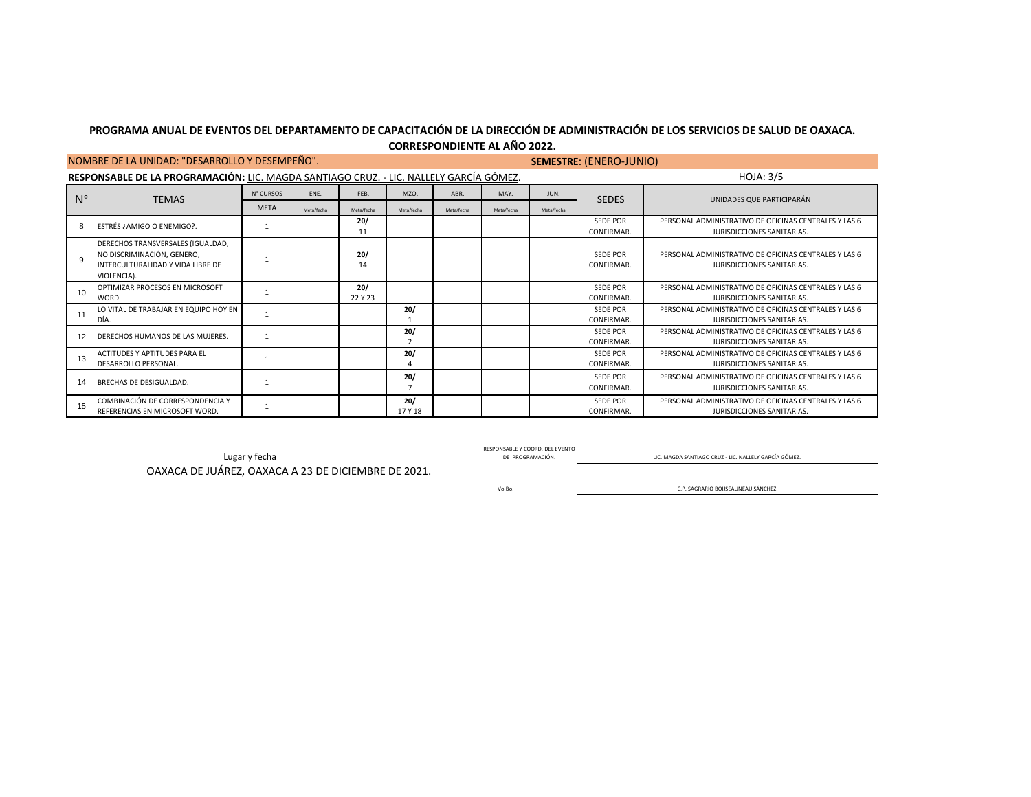|              | NOMBRE DE LA UNIDAD: "DESARROLLO Y DESEMPEÑO".                                                                      |             |            | <b>SEMESTRE: (ENERO-JUNIO)</b> |                |            |            |            |                               |                                                                                            |  |  |  |  |
|--------------|---------------------------------------------------------------------------------------------------------------------|-------------|------------|--------------------------------|----------------|------------|------------|------------|-------------------------------|--------------------------------------------------------------------------------------------|--|--|--|--|
|              | RESPONSABLE DE LA PROGRAMACIÓN: LIC. MAGDA SANTIAGO CRUZ. - LIC. NALLELY GARCÍA GÓMEZ.<br><b>HOJA: 3/5</b>          |             |            |                                |                |            |            |            |                               |                                                                                            |  |  |  |  |
| $N^{\circ}$  | <b>TEMAS</b>                                                                                                        | N° CURSOS   | ENE.       | FEB.                           | MZO.           | ABR.       | MAY.       | JUN.       | <b>SEDES</b>                  | UNIDADES QUE PARTICIPARÁN                                                                  |  |  |  |  |
|              |                                                                                                                     | <b>META</b> | Meta/fecha | Meta/fecha                     | Meta/fecha     | Meta/fecha | Meta/fecha | Meta/fecha |                               |                                                                                            |  |  |  |  |
| 8            | ESTRÉS ¿AMIGO O ENEMIGO?.                                                                                           |             |            | 20/<br>11                      |                |            |            |            | SEDE POR<br>CONFIRMAR.        | PERSONAL ADMINISTRATIVO DE OFICINAS CENTRALES Y LAS 6<br>JURISDICCIONES SANITARIAS.        |  |  |  |  |
| $\mathbf{Q}$ | DERECHOS TRANSVERSALES (IGUALDAD,<br>NO DISCRIMINACIÓN, GENERO,<br>INTERCULTURALIDAD Y VIDA LIBRE DE<br>VIOLENCIA). |             |            | 20/<br>14                      |                |            |            |            | <b>SEDE POR</b><br>CONFIRMAR. | PERSONAL ADMINISTRATIVO DE OFICINAS CENTRALES Y LAS 6<br>JURISDICCIONES SANITARIAS.        |  |  |  |  |
| 10           | OPTIMIZAR PROCESOS EN MICROSOFT<br>WORD.                                                                            |             |            | 20/<br>22 Y 23                 |                |            |            |            | <b>SEDE POR</b><br>CONFIRMAR. | PERSONAL ADMINISTRATIVO DE OFICINAS CENTRALES Y LAS 6<br><b>IURISDICCIONES SANITARIAS.</b> |  |  |  |  |
| 11           | LO VITAL DE TRABAJAR EN EQUIPO HOY EN<br>DÍA.                                                                       |             |            |                                | 20/            |            |            |            | SEDE POR<br>CONFIRMAR.        | PERSONAL ADMINISTRATIVO DE OFICINAS CENTRALES Y LAS 6<br>JURISDICCIONES SANITARIAS.        |  |  |  |  |
| 12           | DERECHOS HUMANOS DE LAS MUJERES.                                                                                    |             |            |                                | 20/            |            |            |            | SEDE POR<br>CONFIRMAR.        | PERSONAL ADMINISTRATIVO DE OFICINAS CENTRALES Y LAS 6<br>JURISDICCIONES SANITARIAS.        |  |  |  |  |
| 13           | ACTITUDES Y APTITUDES PARA EL<br>DESARROLLO PERSONAL.                                                               |             |            |                                | 20/            |            |            |            | SEDE POR<br>CONFIRMAR.        | PERSONAL ADMINISTRATIVO DE OFICINAS CENTRALES Y LAS 6<br><b>IURISDICCIONES SANITARIAS.</b> |  |  |  |  |
| 14           | BRECHAS DE DESIGUALDAD.                                                                                             |             |            |                                | 20/            |            |            |            | <b>SEDE POR</b><br>CONFIRMAR. | PERSONAL ADMINISTRATIVO DE OFICINAS CENTRALES Y LAS 6<br>JURISDICCIONES SANITARIAS.        |  |  |  |  |
| 15           | COMBINACIÓN DE CORRESPONDENCIA Y<br>REFERENCIAS EN MICROSOFT WORD.                                                  |             |            |                                | 20/<br>17 Y 18 |            |            |            | <b>SEDE POR</b><br>CONFIRMAR. | PERSONAL ADMINISTRATIVO DE OFICINAS CENTRALES Y LAS 6<br>JURISDICCIONES SANITARIAS.        |  |  |  |  |

LUGAR V FOLA LICENS AND TRANSPORT CONTROL CONTROL CONTROL CONTROL CONTROL CONTROL DE PROGRAMACIÓN. THE ORIGINAL CONTROL DE PROGRAMACIÓN. RESPONSABLE Y COORD. DEL EVENTO DE PROGRAMACIÓN.

OAXACA DE JUÁREZ, OAXACA A 23 DE DICIEMBRE DE 2021.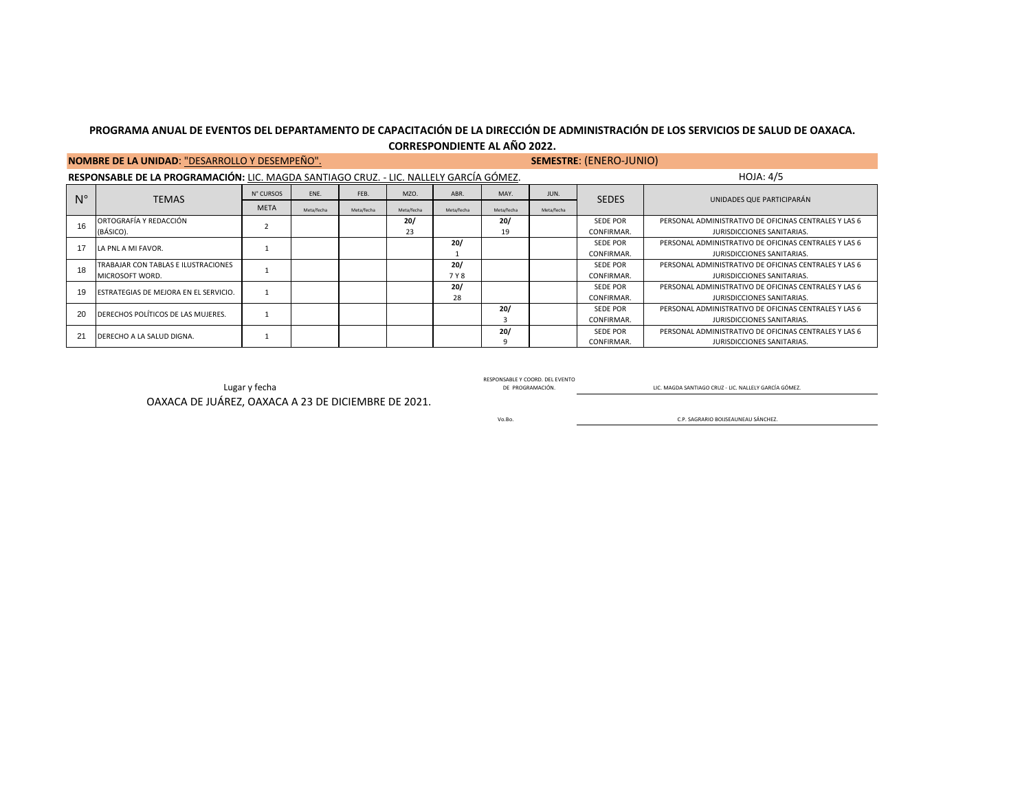|             | NOMBRE DE LA UNIDAD: "DESARROLLO Y DESEMPEÑO".                                         |             |            | <b>SEMESTRE: (ENERO-JUNIO)</b> |                  |              |            |            |                               |                                                                                     |
|-------------|----------------------------------------------------------------------------------------|-------------|------------|--------------------------------|------------------|--------------|------------|------------|-------------------------------|-------------------------------------------------------------------------------------|
|             | RESPONSABLE DE LA PROGRAMACIÓN: LIC. MAGDA SANTIAGO CRUZ. - LIC. NALLELY GARCÍA GÓMEZ. |             |            |                                | <b>HOJA: 4/5</b> |              |            |            |                               |                                                                                     |
| $N^{\circ}$ | <b>TEMAS</b>                                                                           | N° CURSOS   | FNF.       | FEB.                           | MZO              | ABR.         | MAY.       | JUN.       | <b>SEDES</b>                  | UNIDADES QUE PARTICIPARÁN                                                           |
|             |                                                                                        | <b>META</b> | Meta/fecha | Meta/fecha                     | Meta/fecha       | Meta/fecha   | Meta/fecha | Meta/fecha |                               |                                                                                     |
| 16          | ORTOGRAFÍA Y REDACCIÓN<br>(BÁSICO).                                                    |             |            |                                | 20/<br>23        |              | 20/<br>19  |            | <b>SEDE POR</b><br>CONFIRMAR. | PERSONAL ADMINISTRATIVO DE OFICINAS CENTRALES Y LAS 6<br>JURISDICCIONES SANITARIAS. |
|             | LA PNL A MI FAVOR.                                                                     |             |            |                                |                  | 20/          |            |            | <b>SEDE POR</b><br>CONFIRMAR. | PERSONAL ADMINISTRATIVO DE OFICINAS CENTRALES Y LAS 6<br>JURISDICCIONES SANITARIAS. |
| 18          | TRABAJAR CON TABLAS E ILUSTRACIONES<br>MICROSOFT WORD.                                 |             |            |                                |                  | 20/<br>7 Y 8 |            |            | <b>SEDE POR</b><br>CONFIRMAR. | PERSONAL ADMINISTRATIVO DE OFICINAS CENTRALES Y LAS 6<br>JURISDICCIONES SANITARIAS. |
|             | ESTRATEGIAS DE MEJORA EN EL SERVICIO.                                                  |             |            |                                |                  | 20/<br>28    |            |            | <b>SEDE POR</b><br>CONFIRMAR. | PERSONAL ADMINISTRATIVO DE OFICINAS CENTRALES Y LAS 6<br>JURISDICCIONES SANITARIAS. |
| 20          | DERECHOS POLÍTICOS DE LAS MUJERES.                                                     |             |            |                                |                  |              | 20/<br>3   |            | <b>SEDE POR</b><br>CONFIRMAR. | PERSONAL ADMINISTRATIVO DE OFICINAS CENTRALES Y LAS 6<br>JURISDICCIONES SANITARIAS. |
| 21          | DERECHO A LA SALUD DIGNA.                                                              |             |            |                                |                  |              | 20/<br>9   |            | SEDE POR<br>CONFIRMAR.        | PERSONAL ADMINISTRATIVO DE OFICINAS CENTRALES Y LAS 6<br>JURISDICCIONES SANITARIAS. |

RESPUNSABLE Y CUURU. THE PROGRAMACIÓN. DEL PROGRAMACIÓN. DEL PROGRAMACIÓN. DE PROGRAMACIÓN. QUE MAGDA SANTIAGO CRUZ - LIC. NALLELY GARCÍA GÓMEZ.

RESPONSABLE Y COORD. DEL EVENTO

OAXACA DE JUÁREZ, OAXACA A 23 DE DICIEMBRE DE 2021.

Vo.Bo.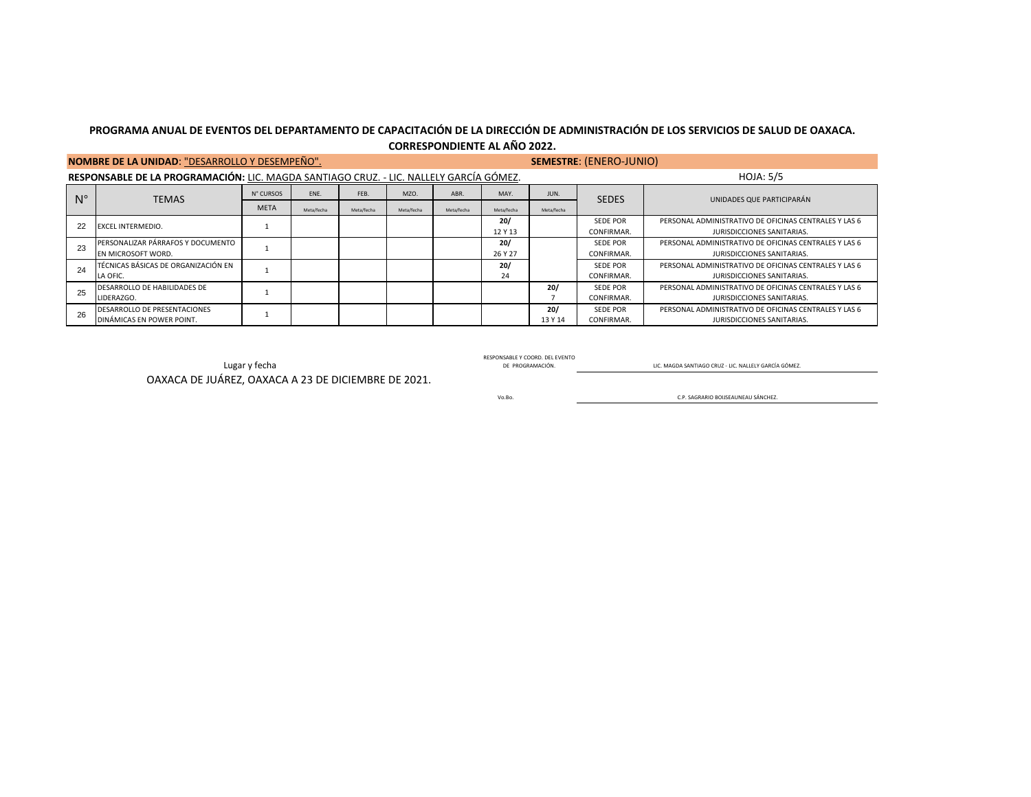|             | NOMBRE DE LA UNIDAD: "DESARROLLO Y DESEMPEÑO".                                         |             |            |            | <b>SEMESTRE: (ENERO-JUNIO)</b> |            |            |            |                 |                                                       |
|-------------|----------------------------------------------------------------------------------------|-------------|------------|------------|--------------------------------|------------|------------|------------|-----------------|-------------------------------------------------------|
|             | RESPONSABLE DE LA PROGRAMACIÓN: LIC. MAGDA SANTIAGO CRUZ. - LIC. NALLELY GARCÍA GÓMEZ. |             |            |            | <b>HOJA: 5/5</b>               |            |            |            |                 |                                                       |
| $N^{\circ}$ | <b>TEMAS</b>                                                                           | N° CURSOS   | ENE.       | FEB.       | MZO                            | ABR.       | MAY.       | JUN.       | <b>SEDES</b>    | UNIDADES QUE PARTICIPARÁN                             |
|             |                                                                                        | <b>META</b> | Meta/fecha | Meta/fecha | Meta/fecha                     | Meta/fecha | Meta/fecha | Meta/fecha |                 |                                                       |
| 22          | <b>EXCEL INTERMEDIO.</b>                                                               |             |            |            |                                |            | 20/        |            | <b>SEDE POR</b> | PERSONAL ADMINISTRATIVO DE OFICINAS CENTRALES Y LAS 6 |
|             |                                                                                        |             |            |            |                                |            | 12 Y 13    |            | CONFIRMAR.      | JURISDICCIONES SANITARIAS.                            |
| 23          | PERSONALIZAR PÁRRAFOS Y DOCUMENTO                                                      |             |            |            |                                |            | 20/        |            | <b>SEDE POR</b> | PERSONAL ADMINISTRATIVO DE OFICINAS CENTRALES Y LAS 6 |
|             | EN MICROSOFT WORD.                                                                     |             |            |            |                                |            | 26 Y 27    |            | CONFIRMAR.      | JURISDICCIONES SANITARIAS.                            |
| 24          | TÉCNICAS BÁSICAS DE ORGANIZACIÓN EN                                                    |             |            |            |                                |            | 20/        |            | <b>SEDE POR</b> | PERSONAL ADMINISTRATIVO DE OFICINAS CENTRALES Y LAS 6 |
|             | LA OFIC.                                                                               |             |            |            |                                |            | 24         |            | CONFIRMAR.      | JURISDICCIONES SANITARIAS.                            |
| 25          | DESARROLLO DE HABILIDADES DE                                                           |             |            |            |                                |            |            | 20/        | <b>SEDE POR</b> | PERSONAL ADMINISTRATIVO DE OFICINAS CENTRALES Y LAS 6 |
|             | LIDERAZGO.                                                                             |             |            |            |                                |            |            |            | CONFIRMAR.      | JURISDICCIONES SANITARIAS.                            |
| 26          | DESARROLLO DE PRESENTACIONES                                                           |             |            |            |                                |            |            | 20/        | <b>SEDE POR</b> | PERSONAL ADMINISTRATIVO DE OFICINAS CENTRALES Y LAS 6 |
|             | DINÁMICAS EN POWER POINT.                                                              |             |            |            |                                |            |            | 13 Y 14    | CONFIRMAR.      | JURISDICCIONES SANITARIAS.                            |

RESPUNSABLE TE DE PROGRAMACIÓN. DE PROGRAMACIÓN. DEL PROGRAMACIÓN. DE PROGRAMACIÓN. DE PROGRAMACIÓN. QUE MAGDA SANTIAGO CRUZ - LIC. NALLELY GARCÍA GÓMEZ. OAXACA DE JUÁREZ, OAXACA A 23 DE DICIEMBRE DE 2021.

RESPONSABLE Y COORD. DEL EVENTO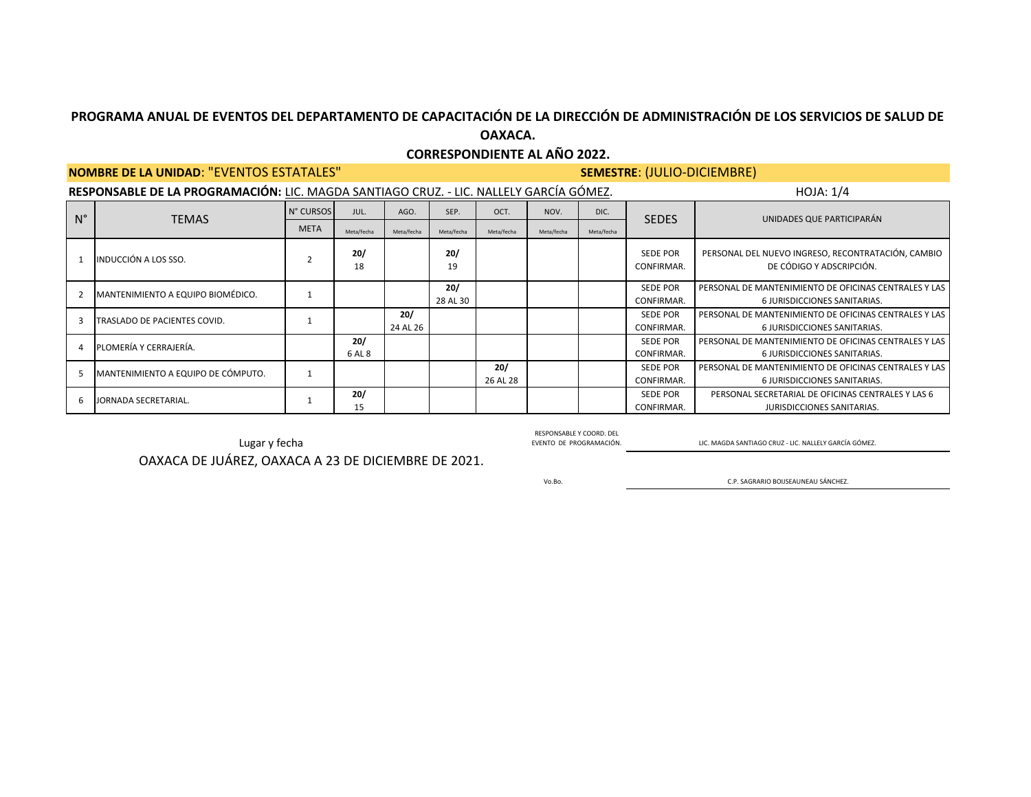## **CORRESPONDIENTE AL AÑO 2022.**

### **NOMBRE DE LA UNIDAD**: "EVENTOS ESTATALES" **SEMESTRE**: (JULIO-DICIEMBRE)

|             | RESPONSABLE DE LA PROGRAMACIÓN: LIC. MAGDA SANTIAGO CRUZ. - LIC. NALLELY GARCÍA GÓMEZ. |             |               |                 |                 |                 |            |            |                               | HOJA: 1/4                                                                             |  |  |
|-------------|----------------------------------------------------------------------------------------|-------------|---------------|-----------------|-----------------|-----------------|------------|------------|-------------------------------|---------------------------------------------------------------------------------------|--|--|
| $N^{\circ}$ | <b>TEMAS</b>                                                                           | N° CURSOS   | JUL.          | AGO.            | SEP.            | OCT.            | NOV.       | DIC.       | <b>SEDES</b>                  | UNIDADES QUE PARTICIPARÁN                                                             |  |  |
|             |                                                                                        | <b>META</b> | Meta/fecha    | Meta/fecha      | Meta/fecha      | Meta/fecha      | Meta/fecha | Meta/fecha |                               |                                                                                       |  |  |
|             | INDUCCIÓN A LOS SSO.                                                                   |             | 20/<br>18     |                 | 20/<br>19       |                 |            |            | <b>SEDE POR</b><br>CONFIRMAR. | PERSONAL DEL NUEVO INGRESO, RECONTRATACIÓN, CAMBIO<br>DE CÓDIGO Y ADSCRIPCIÓN.        |  |  |
|             | MANTENIMIENTO A EQUIPO BIOMÉDICO.                                                      |             |               |                 | 20/<br>28 AL 30 |                 |            |            | <b>SEDE POR</b><br>CONFIRMAR. | PERSONAL DE MANTENIMIENTO DE OFICINAS CENTRALES Y LAS<br>6 JURISDICCIONES SANITARIAS. |  |  |
|             | TRASLADO DE PACIENTES COVID.                                                           |             |               | 20/<br>24 AL 26 |                 |                 |            |            | <b>SEDE POR</b><br>CONFIRMAR. | PERSONAL DE MANTENIMIENTO DE OFICINAS CENTRALES Y LAS<br>6 JURISDICCIONES SANITARIAS. |  |  |
|             | PLOMERÍA Y CERRAJERÍA.                                                                 |             | 20/<br>6 AL 8 |                 |                 |                 |            |            | <b>SEDE POR</b><br>CONFIRMAR. | PERSONAL DE MANTENIMIENTO DE OFICINAS CENTRALES Y LAS<br>6 JURISDICCIONES SANITARIAS. |  |  |
|             | MANTENIMIENTO A EQUIPO DE CÓMPUTO.                                                     |             |               |                 |                 | 20/<br>26 AL 28 |            |            | <b>SEDE POR</b><br>CONFIRMAR. | PERSONAL DE MANTENIMIENTO DE OFICINAS CENTRALES Y LAS<br>6 JURISDICCIONES SANITARIAS. |  |  |
| 6           | JORNADA SECRETARIAL.                                                                   |             | 20/<br>15     |                 |                 |                 |            |            | <b>SEDE POR</b><br>CONFIRMAR. | PERSONAL SECRETARIAL DE OFICINAS CENTRALES Y LAS 6<br>JURISDICCIONES SANITARIAS.      |  |  |

Lugar y fecha EVENTO DE PROGRAMACIÓN. OAXACA DE JUÁREZ, OAXACA A 23 DE DICIEMBRE DE 2021.

Vo.Bo.

RESPONSABLE Y COORD. DEL

LIC. MAGDA SANTIAGO CRUZ - LIC. NALLELY GARCÍA GÓMEZ.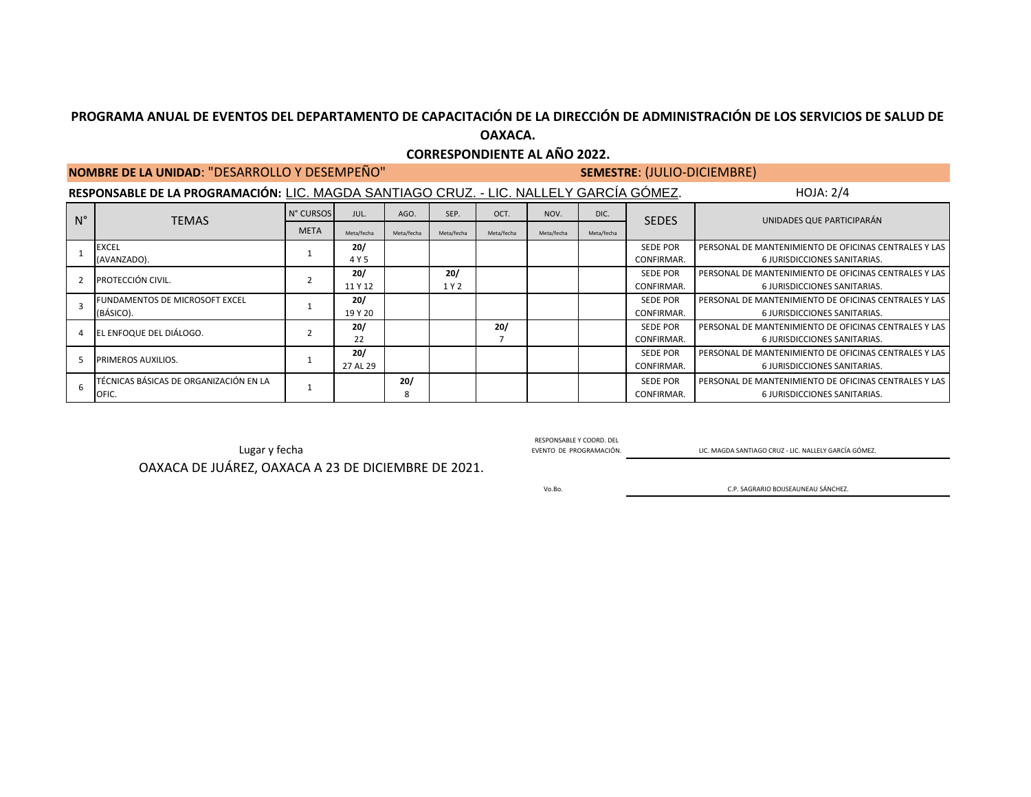## **CORRESPONDIENTE AL AÑO 2022.**

## **NOMBRE DE LA UNIDAD**: "DESARROLLO Y DESEMPEÑO" **SEMESTRE**: (JULIO-DICIEMBRE)

**RESPONSABLE DE LA PROGRAMACIÓN:** LIC. MAGDA SANTIAGO CRUZ. - LIC. NALLELY GARCÍA GÓMEZ. HOJA: 2/4

| $N^{\circ}$ | <b>TEMAS</b>                           | N° CURSOS   | JUL.       | AGO.       | SEP.       | OCT.       | NOV.       | DIC.       | <b>SEDES</b>    | UNIDADES QUE PARTICIPARÁN                             |
|-------------|----------------------------------------|-------------|------------|------------|------------|------------|------------|------------|-----------------|-------------------------------------------------------|
|             |                                        | <b>META</b> | Meta/fecha | Meta/fecha | Meta/fecha | Meta/fecha | Meta/fecha | Meta/fecha |                 |                                                       |
|             | <b>EXCEL</b>                           |             | 20/        |            |            |            |            |            | <b>SEDE POR</b> | PERSONAL DE MANTENIMIENTO DE OFICINAS CENTRALES Y LAS |
|             | (AVANZADO).                            |             | 4 Y 5      |            |            |            |            |            | CONFIRMAR.      | 6 JURISDICCIONES SANITARIAS.                          |
|             | PROTECCIÓN CIVIL.                      |             | 20/        |            | 20/        |            |            |            | <b>SEDE POR</b> | PERSONAL DE MANTENIMIENTO DE OFICINAS CENTRALES Y LAS |
|             |                                        |             | 11 Y 12    |            | 1 Y 2      |            |            |            | CONFIRMAR.      | 6 JURISDICCIONES SANITARIAS.                          |
|             | FUNDAMENTOS DE MICROSOFT EXCEL         |             | 20/        |            |            |            |            |            | <b>SEDE POR</b> | PERSONAL DE MANTENIMIENTO DE OFICINAS CENTRALES Y LAS |
|             | (BÁSICO).                              |             | 19 Y 20    |            |            |            |            |            | CONFIRMAR.      | 6 JURISDICCIONES SANITARIAS.                          |
|             | EL ENFOQUE DEL DIÁLOGO.                |             | 20/        |            |            | 20/        |            |            | <b>SEDE POR</b> | PERSONAL DE MANTENIMIENTO DE OFICINAS CENTRALES Y LAS |
|             |                                        |             | 22         |            |            |            |            |            | CONFIRMAR.      | 6 JURISDICCIONES SANITARIAS.                          |
|             | PRIMEROS AUXILIOS.                     |             | 20/        |            |            |            |            |            | <b>SEDE POR</b> | PERSONAL DE MANTENIMIENTO DE OFICINAS CENTRALES Y LAS |
|             |                                        |             | 27 AL 29   |            |            |            |            |            | CONFIRMAR.      | 6 JURISDICCIONES SANITARIAS.                          |
|             | TÉCNICAS BÁSICAS DE ORGANIZACIÓN EN LA |             |            | 20/        |            |            |            |            | <b>SEDE POR</b> | PERSONAL DE MANTENIMIENTO DE OFICINAS CENTRALES Y LAS |
|             | OFIC.                                  |             |            | 8          |            |            |            |            | CONFIRMAR.      | 6 JURISDICCIONES SANITARIAS.                          |

Lugar y fecha EVENTO DE PROGRAMACIÓN. ELLES EN ELLES DESPUEDEN ELLES EN ELLES EN ELLES EN ELLES EN ELLES EN EL<br>EVENTO DE PROGRAMACIÓN. ELLES EN ELLES EN ELLES EN ELLES EN ELLES EN ELLES EN ELLES EN ELLES GARCÍA GÓMEZ.

RESPONSABLE Y COORD. DEL

OAXACA DE JUÁREZ, OAXACA A 23 DE DICIEMBRE DE 2021.

Vo.Bo.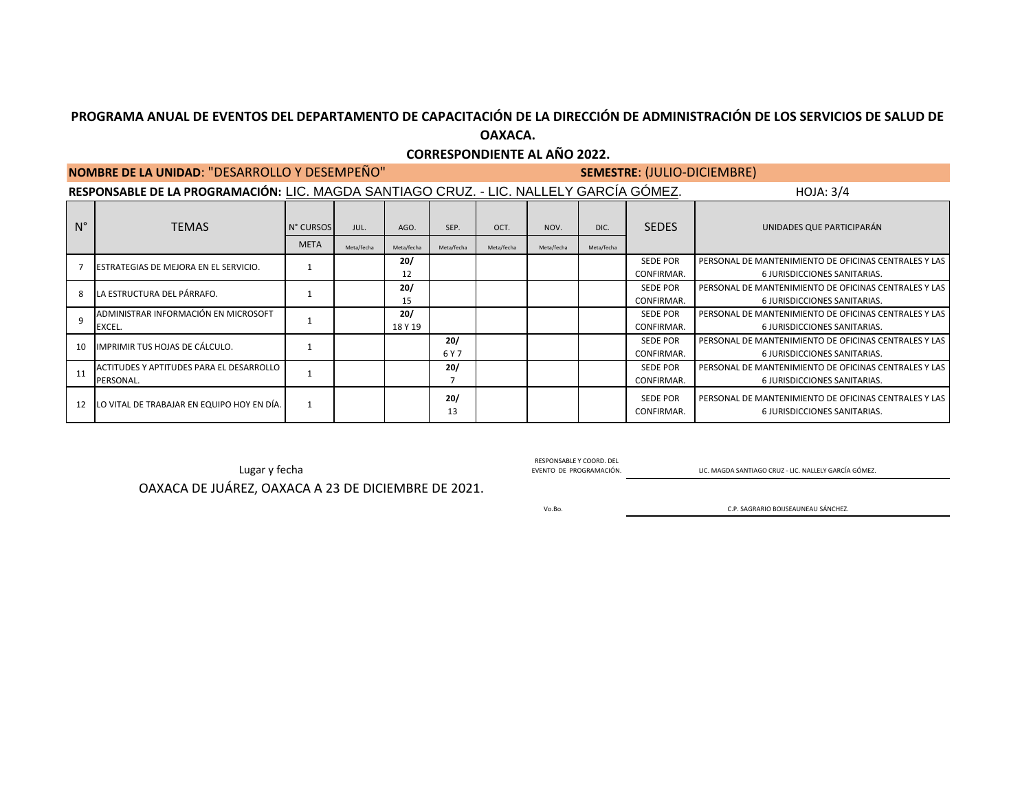## **CORRESPONDIENTE AL AÑO 2022.**

|             | NOMBRE DE LA UNIDAD: "DESARROLLO Y DESEMPEÑO"                                          | <b>SEMESTRE: (JULIO-DICIEMBRE)</b> |                    |                    |                    |                    |                    |                    |                               |                                                                                       |
|-------------|----------------------------------------------------------------------------------------|------------------------------------|--------------------|--------------------|--------------------|--------------------|--------------------|--------------------|-------------------------------|---------------------------------------------------------------------------------------|
|             | RESPONSABLE DE LA PROGRAMACIÓN: LIC. MAGDA SANTIAGO CRUZ. - LIC. NALLELY GARCÍA GÓMEZ. |                                    | HOJA: 3/4          |                    |                    |                    |                    |                    |                               |                                                                                       |
| $N^{\circ}$ | <b>TEMAS</b>                                                                           | N° CURSOS<br><b>META</b>           | JUL.<br>Meta/fecha | AGO.<br>Meta/fecha | SEP.<br>Meta/fecha | OCT.<br>Meta/fecha | NOV.<br>Meta/fecha | DIC.<br>Meta/fecha | <b>SEDES</b>                  | UNIDADES QUE PARTICIPARÁN                                                             |
|             | ESTRATEGIAS DE MEJORA EN EL SERVICIO.                                                  |                                    |                    | 20/<br>12          |                    |                    |                    |                    | <b>SEDE POR</b><br>CONFIRMAR. | PERSONAL DE MANTENIMIENTO DE OFICINAS CENTRALES Y LAS<br>6 JURISDICCIONES SANITARIAS. |
| 8           | LA ESTRUCTURA DEL PÁRRAFO.                                                             |                                    |                    | 20/<br>15          |                    |                    |                    |                    | <b>SEDE POR</b><br>CONFIRMAR. | PERSONAL DE MANTENIMIENTO DE OFICINAS CENTRALES Y LAS<br>6 JURISDICCIONES SANITARIAS. |
| $\mathsf q$ | ADMINISTRAR INFORMACIÓN EN MICROSOFT<br>EXCEL.                                         |                                    |                    | 20/<br>18 Y 19     |                    |                    |                    |                    | <b>SEDE POR</b><br>CONFIRMAR. | PERSONAL DE MANTENIMIENTO DE OFICINAS CENTRALES Y LAS<br>6 JURISDICCIONES SANITARIAS. |
| 10          | IMPRIMIR TUS HOJAS DE CÁLCULO.                                                         |                                    |                    |                    | 20/<br>6 Y 7       |                    |                    |                    | <b>SEDE POR</b><br>CONFIRMAR. | PERSONAL DE MANTENIMIENTO DE OFICINAS CENTRALES Y LAS<br>6 JURISDICCIONES SANITARIAS. |
| 11          | ACTITUDES Y APTITUDES PARA EL DESARROLLO<br>PERSONAL.                                  |                                    |                    |                    | 20/                |                    |                    |                    | <b>SEDE POR</b><br>CONFIRMAR. | PERSONAL DE MANTENIMIENTO DE OFICINAS CENTRALES Y LAS<br>6 JURISDICCIONES SANITARIAS. |
| 12          | LO VITAL DE TRABAJAR EN EQUIPO HOY EN DÍA.                                             |                                    |                    |                    | 20/<br>13          |                    |                    |                    | <b>SEDE POR</b><br>CONFIRMAR. | PERSONAL DE MANTENIMIENTO DE OFICINAS CENTRALES Y LAS<br>6 JURISDICCIONES SANITARIAS. |

RESPONSABLE Y COORD. DEL<br>EVENTO DE PROGRAMACIÓN.

Lugar y fecha EVENTO DE PROGRAMACIÓN. ELLENDA EVENTO DE PROGRAMACIÓN. LA ENCICIONADA ENCORENTE LO EN ENCORENTE DE PROGRAMACIÓN.

OAXACA DE JUÁREZ, OAXACA A 23 DE DICIEMBRE DE 2021.